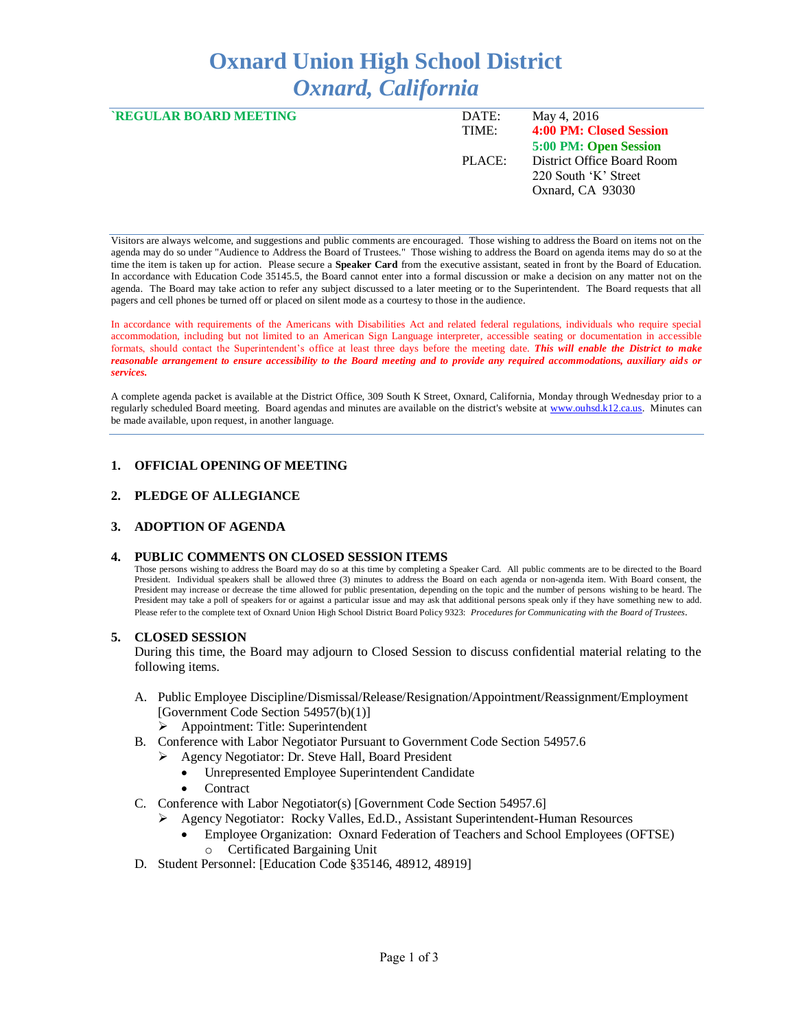# **Oxnard Union High School District** *Oxnard, California*

| <b>REGULAR BOARD MEETING</b> | DATE:  | May 4, 2016                |
|------------------------------|--------|----------------------------|
|                              | TIME:  | 4:00 PM: Closed Session    |
|                              |        | 5:00 PM: Open Session      |
|                              | PLACE: | District Office Board Room |
|                              |        | 220 South 'K' Street       |
|                              |        | Oxnard, CA 93030           |
|                              |        |                            |

Visitors are always welcome, and suggestions and public comments are encouraged. Those wishing to address the Board on items not on the agenda may do so under "Audience to Address the Board of Trustees." Those wishing to address the Board on agenda items may do so at the time the item is taken up for action. Please secure a **Speaker Card** from the executive assistant, seated in front by the Board of Education. In accordance with Education Code 35145.5, the Board cannot enter into a formal discussion or make a decision on any matter not on the agenda. The Board may take action to refer any subject discussed to a later meeting or to the Superintendent. The Board requests that all pagers and cell phones be turned off or placed on silent mode as a courtesy to those in the audience.

In accordance with requirements of the Americans with Disabilities Act and related federal regulations, individuals who require special accommodation, including but not limited to an American Sign Language interpreter, accessible seating or documentation in accessible formats, should contact the Superintendent's office at least three days before the meeting date. *This will enable the District to make reasonable arrangement to ensure accessibility to the Board meeting and to provide any required accommodations, auxiliary aids or services.* 

A complete agenda packet is available at the District Office, 309 South K Street, Oxnard, California, Monday through Wednesday prior to a regularly scheduled Board meeting. Board agendas and minutes are available on the district's website at [www.ouhsd.k12.ca.us.](http://www.ouhsd.k12.ca.us/)Minutes can be made available, upon request, in another language.

## **1. OFFICIAL OPENING OF MEETING**

#### **2. PLEDGE OF ALLEGIANCE**

#### **3. ADOPTION OF AGENDA**

#### **4. PUBLIC COMMENTS ON CLOSED SESSION ITEMS**

Those persons wishing to address the Board may do so at this time by completing a Speaker Card. All public comments are to be directed to the Board President. Individual speakers shall be allowed three (3) minutes to address the Board on each agenda or non-agenda item. With Board consent, the President may increase or decrease the time allowed for public presentation, depending on the topic and the number of persons wishing to be heard. The President may take a poll of speakers for or against a particular issue and may ask that additional persons speak only if they have something new to add. Please refer to the complete text of Oxnard Union High School District Board Policy 9323: *Procedures for Communicating with the Board of Trustees*.

#### **5. CLOSED SESSION**

During this time, the Board may adjourn to Closed Session to discuss confidential material relating to the following items.

- A. Public Employee Discipline/Dismissal/Release/Resignation/Appointment/Reassignment/Employment [Government Code Section 54957(b)(1)]
	- Appointment: Title: Superintendent
- B. Conference with Labor Negotiator Pursuant to Government Code Section 54957.6
	- Agency Negotiator: Dr. Steve Hall, Board President
		- Unrepresented Employee Superintendent Candidate
		- **Contract**
- C. Conference with Labor Negotiator(s) [Government Code Section 54957.6]
	- Agency Negotiator: Rocky Valles, Ed.D., Assistant Superintendent-Human Resources
		- Employee Organization: Oxnard Federation of Teachers and School Employees (OFTSE) Certificated Bargaining Unit
- D. Student Personnel: [Education Code §35146, 48912, 48919]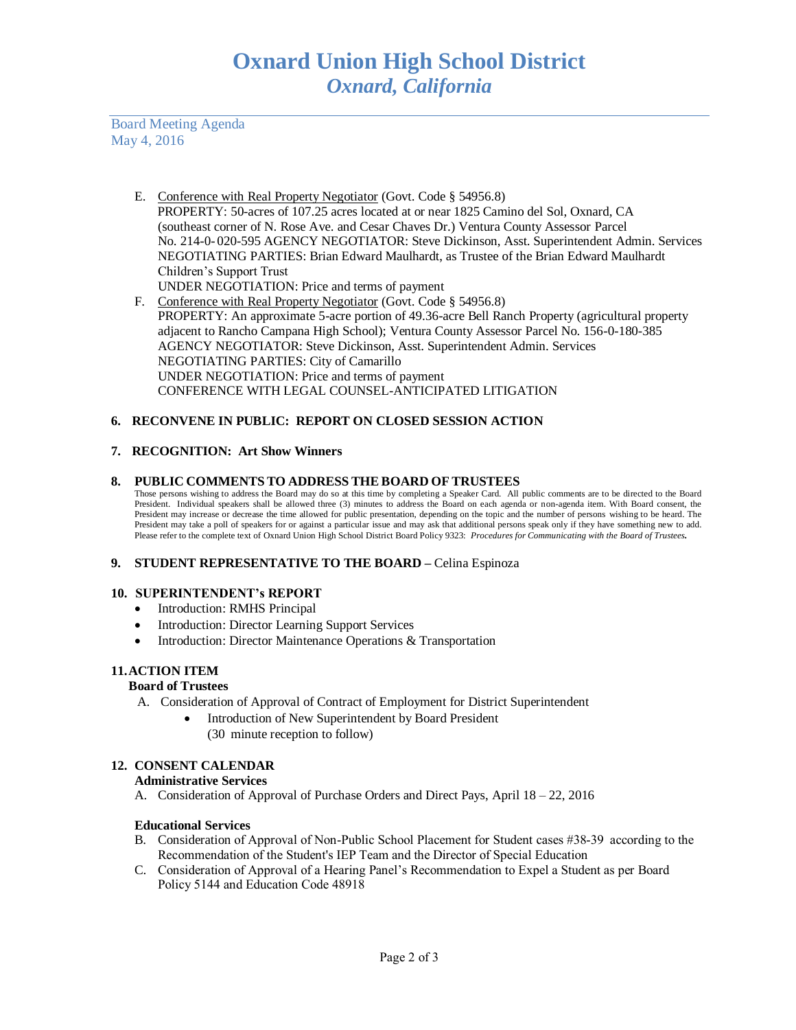Board Meeting Agenda May 4, 2016

- E. Conference with Real Property Negotiator (Govt. Code § 54956.8) PROPERTY: 50-acres of 107.25 acres located at or near 1825 Camino del Sol, Oxnard, CA (southeast corner of N. Rose Ave. and Cesar Chaves Dr.) Ventura County Assessor Parcel No. 214-0- 020-595 AGENCY NEGOTIATOR: Steve Dickinson, Asst. Superintendent Admin. Services NEGOTIATING PARTIES: Brian Edward Maulhardt, as Trustee of the Brian Edward Maulhardt Children's Support Trust UNDER NEGOTIATION: Price and terms of payment
- F. Conference with Real Property Negotiator (Govt. Code § 54956.8) PROPERTY: An approximate 5-acre portion of 49.36-acre Bell Ranch Property (agricultural property adjacent to Rancho Campana High School); Ventura County Assessor Parcel No. 156-0-180-385 AGENCY NEGOTIATOR: Steve Dickinson, Asst. Superintendent Admin. Services NEGOTIATING PARTIES: City of Camarillo UNDER NEGOTIATION: Price and terms of payment CONFERENCE WITH LEGAL COUNSEL-ANTICIPATED LITIGATION

# **6. RECONVENE IN PUBLIC: REPORT ON CLOSED SESSION ACTION**

## **7. RECOGNITION: Art Show Winners**

## **8. PUBLIC COMMENTS TO ADDRESS THE BOARD OF TRUSTEES**

Those persons wishing to address the Board may do so at this time by completing a Speaker Card. All public comments are to be directed to the Board President. Individual speakers shall be allowed three (3) minutes to address the Board on each agenda or non-agenda item. With Board consent, the President may increase or decrease the time allowed for public presentation, depending on the topic and the number of persons wishing to be heard. The President may take a poll of speakers for or against a particular issue and may ask that additional persons speak only if they have something new to add. Please refer to the complete text of Oxnard Union High School District Board Policy 9323: *Procedures for Communicating with the Board of Trustees.*

# **9. STUDENT REPRESENTATIVE TO THE BOARD –** Celina Espinoza

#### **10. SUPERINTENDENT's REPORT**

- Introduction: RMHS Principal
- Introduction: Director Learning Support Services
- Introduction: Director Maintenance Operations & Transportation

# **11.ACTION ITEM**

#### **Board of Trustees**

- A. Consideration of Approval of Contract of Employment for District Superintendent
	- Introduction of New Superintendent by Board President (30 minute reception to follow)

## **12. CONSENT CALENDAR**

## **Administrative Services**

A. Consideration of Approval of Purchase Orders and Direct Pays, April 18 – 22, 2016

## **Educational Services**

- B. Consideration of Approval of Non-Public School Placement for Student cases #38-39 according to the Recommendation of the Student's IEP Team and the Director of Special Education
- C. Consideration of Approval of a Hearing Panel's Recommendation to Expel a Student as per Board Policy 5144 and Education Code 48918